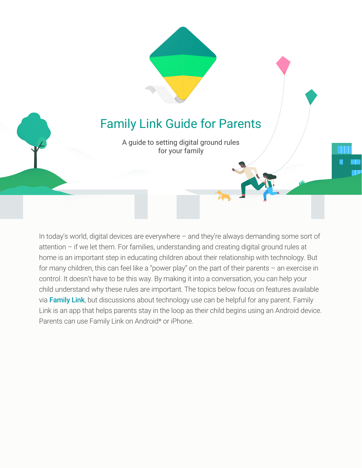# Family Link Guide for Parents

A guide to setting digital ground rules for your family

w

In today's world, digital devices are everywhere – and they're always demanding some sort of attention – if we let them. For families, understanding and creating digital ground rules at home is an important step in educating children about their relationship with technology. But for many children, this can feel like a "power play" on the part of their parents – an exercise in control. It doesn't have to be this way. By making it into a conversation, you can help your child understand why these rules are important. The topics below focus on features available via [Family Link](https://families.google.com/familylink/), but discussions about technology use can be helpful for any parent. Family Link is an app that helps parents stay in the loop as their child begins using an Android device. Parents can use Family Link on Android\* or iPhone.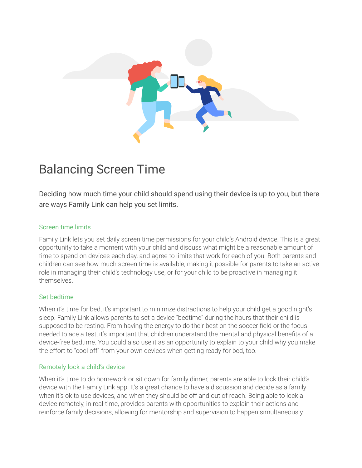

# Balancing Screen Time

Deciding how much time your child should spend using their device is up to you, but there are ways Family Link can help you set limits.

#### Screen time limits

Family Link lets you set daily screen time permissions for your child's Android device. This is a great opportunity to take a moment with your child and discuss what might be a reasonable amount of time to spend on devices each day, and agree to limits that work for each of you. Both parents and children can see how much screen time is available, making it possible for parents to take an active role in managing their child's technology use, or for your child to be proactive in managing it themselves.

### Set bedtime

When it's time for bed, it's important to minimize distractions to help your child get a good night's sleep. Family Link allows parents to set a device "bedtime" during the hours that their child is supposed to be resting. From having the energy to do their best on the soccer field or the focus needed to ace a test, it's important that children understand the mental and physical benefits of a device-free bedtime. You could also use it as an opportunity to explain to your child why you make the effort to "cool off" from your own devices when getting ready for bed, too.

#### Remotely lock a child's device

When it's time to do homework or sit down for family dinner, parents are able to lock their child's device with the Family Link app. It's a great chance to have a discussion and decide as a family when it's ok to use devices, and when they should be off and out of reach. Being able to lock a device remotely, in real-time, provides parents with opportunities to explain their actions and reinforce family decisions, allowing for mentorship and supervision to happen simultaneously.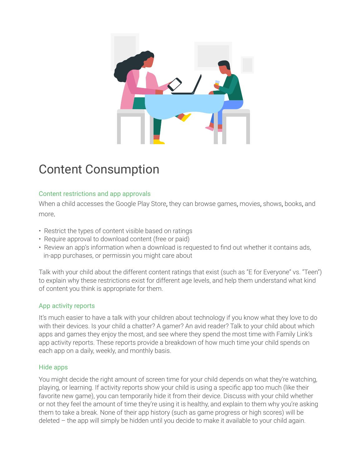

# Content Consumption

### Content restrictions and app approvals

When a child accesses the Google Play Store, they can browse games, movies, shows, books, and more.

- Restrict the types of content visible based on ratings
- Require approval to download content (free or paid)
- Review an app's information when a download is requested to find out whether it contains ads, in-app purchases, or permissin you might care about

Talk with your child about the different content ratings that exist (such as "E for Everyone" vs. "Teen") to explain why these restrictions exist for different age levels, and help them understand what kind of content you think is appropriate for them.

### App activity reports

It's much easier to have a talk with your children about technology if you know what they love to do with their devices. Is your child a chatter? A gamer? An avid reader? Talk to your child about which apps and games they enjoy the most, and see where they spend the most time with Family Link's app activity reports. These reports provide a breakdown of how much time your child spends on each app on a daily, weekly, and monthly basis.

### Hide apps

You might decide the right amount of screen time for your child depends on what they're watching, playing, or learning. If activity reports show your child is using a specific app too much (like their favorite new game), you can temporarily hide it from their device. Discuss with your child whether or not they feel the amount of time they're using it is healthy, and explain to them why you're asking them to take a break. None of their app history (such as game progress or high scores) will be deleted – the app will simply be hidden until you decide to make it available to your child again.